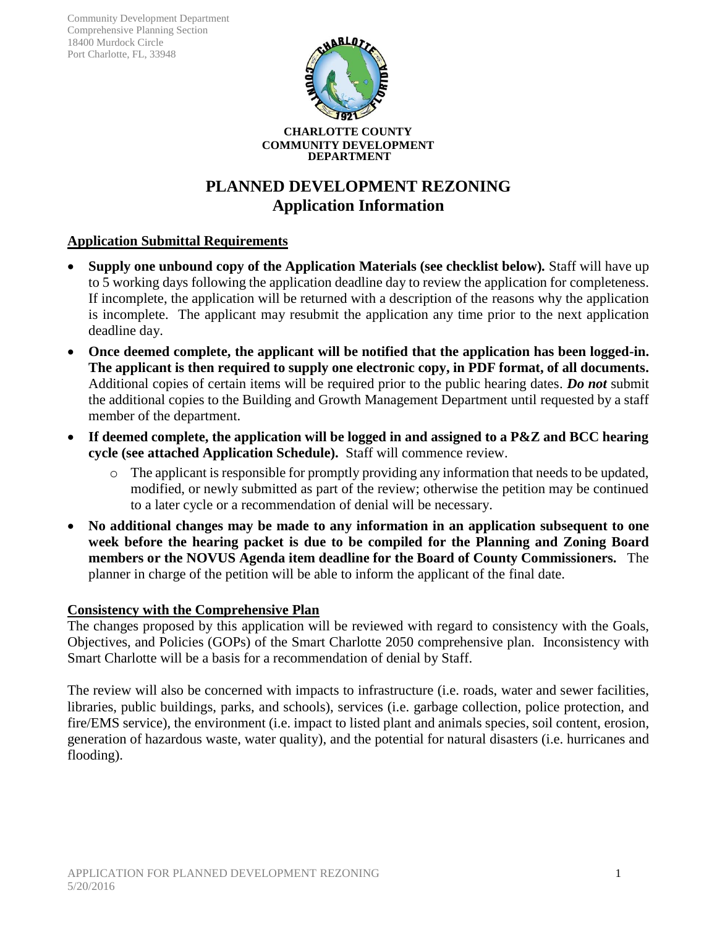Community Development Department Comprehensive Planning Section 18400 Murdock Circle Port Charlotte, FL, 33948



# **PLANNED DEVELOPMENT REZONING Application Information**

## **Application Submittal Requirements**

- **Supply one unbound copy of the Application Materials (see checklist below)***.* Staff will have up to 5 working days following the application deadline day to review the application for completeness. If incomplete, the application will be returned with a description of the reasons why the application is incomplete. The applicant may resubmit the application any time prior to the next application deadline day.
- **Once deemed complete, the applicant will be notified that the application has been logged-in. The applicant is then required to supply one electronic copy, in PDF format, of all documents.** Additional copies of certain items will be required prior to the public hearing dates. *Do not* submit the additional copies to the Building and Growth Management Department until requested by a staff member of the department.
- **If deemed complete, the application will be logged in and assigned to a P&Z and BCC hearing cycle (see attached Application Schedule).** Staff will commence review.
	- o The applicant is responsible for promptly providing any information that needs to be updated, modified, or newly submitted as part of the review; otherwise the petition may be continued to a later cycle or a recommendation of denial will be necessary.
- **No additional changes may be made to any information in an application subsequent to one week before the hearing packet is due to be compiled for the Planning and Zoning Board members or the NOVUS Agenda item deadline for the Board of County Commissioners.** The planner in charge of the petition will be able to inform the applicant of the final date.

## **Consistency with the Comprehensive Plan**

The changes proposed by this application will be reviewed with regard to consistency with the Goals, Objectives, and Policies (GOPs) of the Smart Charlotte 2050 comprehensive plan. Inconsistency with Smart Charlotte will be a basis for a recommendation of denial by Staff.

The review will also be concerned with impacts to infrastructure (i.e. roads, water and sewer facilities, libraries, public buildings, parks, and schools), services (i.e. garbage collection, police protection, and fire/EMS service), the environment (i.e. impact to listed plant and animals species, soil content, erosion, generation of hazardous waste, water quality), and the potential for natural disasters (i.e. hurricanes and flooding).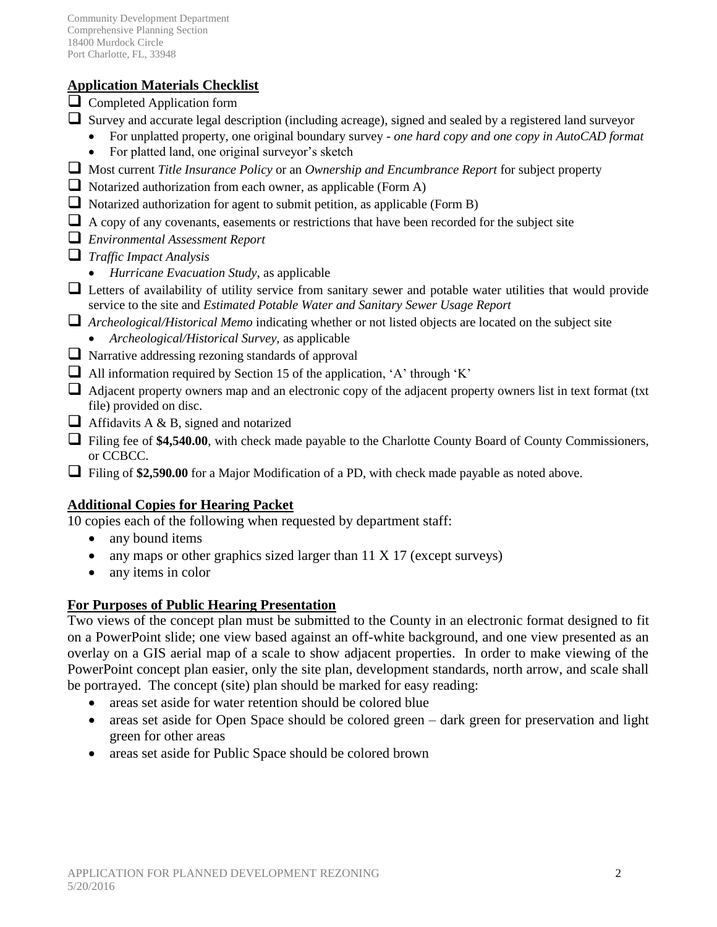# **Application Materials Checklist**

- $\Box$  Completed Application form
- $\Box$  Survey and accurate legal description (including acreage), signed and sealed by a registered land surveyor
	- For unplatted property, one original boundary survey *- one hard copy and one copy in AutoCAD format*
	- For platted land, one original surveyor's sketch
- Most current *Title Insurance Policy* or an *Ownership and Encumbrance Report* for subject property
- $\Box$  Notarized authorization from each owner, as applicable (Form A)
- $\Box$  Notarized authorization for agent to submit petition, as applicable (Form B)
- $\Box$  A copy of any covenants, easements or restrictions that have been recorded for the subject site
- *Environmental Assessment Report*
- *Traffic Impact Analysis* 
	- *Hurricane Evacuation Study,* as applicable
- $\Box$  Letters of availability of utility service from sanitary sewer and potable water utilities that would provide service to the site and *Estimated Potable Water and Sanitary Sewer Usage Report*
- *Archeological/Historical Memo* indicating whether or not listed objects are located on the subject site
	- *Archeological/Historical Survey,* as applicable
- $\Box$  Narrative addressing rezoning standards of approval
- $\Box$  All information required by Section 15 of the application, 'A' through 'K'
- $\Box$  Adjacent property owners map and an electronic copy of the adjacent property owners list in text format (txt file) provided on disc.
- $\Box$  Affidavits A & B, signed and notarized
- Filing fee of **\$4,540.00**, with check made payable to the Charlotte County Board of County Commissioners, or CCBCC.
- Filing of \$2,590.00 for a Major Modification of a PD, with check made payable as noted above.

# **Additional Copies for Hearing Packet**

10 copies each of the following when requested by department staff:

- any bound items
- any maps or other graphics sized larger than  $11 \times 17$  (except surveys)
- any items in color

## **For Purposes of Public Hearing Presentation**

Two views of the concept plan must be submitted to the County in an electronic format designed to fit on a PowerPoint slide; one view based against an off-white background, and one view presented as an overlay on a GIS aerial map of a scale to show adjacent properties. In order to make viewing of the PowerPoint concept plan easier, only the site plan, development standards, north arrow, and scale shall be portrayed. The concept (site) plan should be marked for easy reading:

- areas set aside for water retention should be colored blue
- areas set aside for Open Space should be colored green dark green for preservation and light green for other areas
- areas set aside for Public Space should be colored brown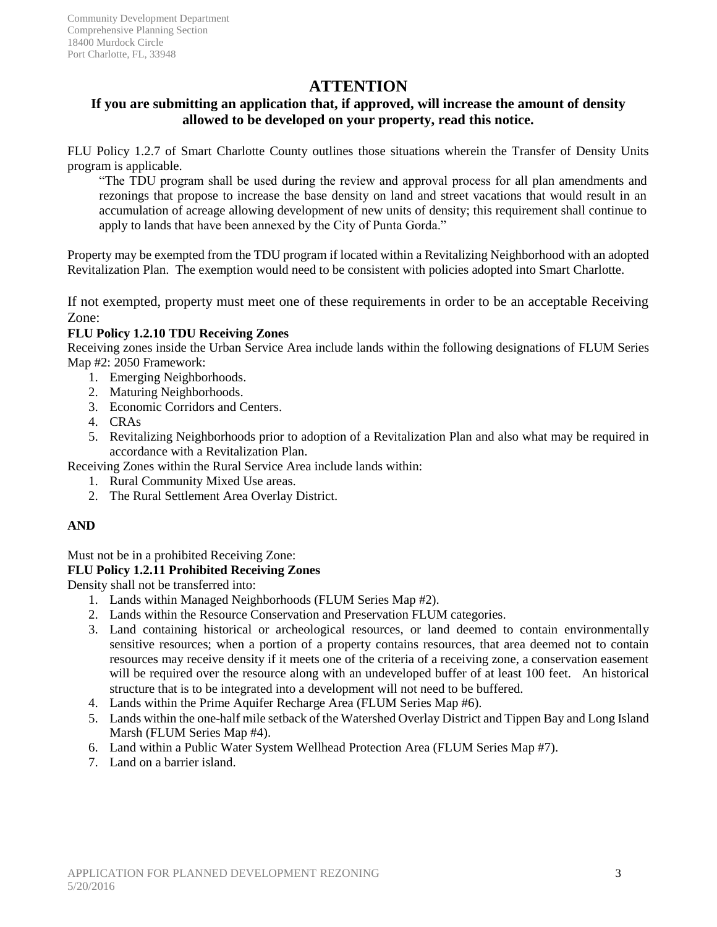# **ATTENTION**

## **If you are submitting an application that, if approved, will increase the amount of density allowed to be developed on your property, read this notice.**

FLU Policy 1.2.7 of Smart Charlotte County outlines those situations wherein the Transfer of Density Units program is applicable.

"The TDU program shall be used during the review and approval process for all plan amendments and rezonings that propose to increase the base density on land and street vacations that would result in an accumulation of acreage allowing development of new units of density; this requirement shall continue to apply to lands that have been annexed by the City of Punta Gorda."

Property may be exempted from the TDU program if located within a Revitalizing Neighborhood with an adopted Revitalization Plan. The exemption would need to be consistent with policies adopted into Smart Charlotte.

If not exempted, property must meet one of these requirements in order to be an acceptable Receiving Zone:

#### **FLU Policy 1.2.10 TDU Receiving Zones**

Receiving zones inside the Urban Service Area include lands within the following designations of FLUM Series Map #2: 2050 Framework:

- 1. Emerging Neighborhoods.
- 2. Maturing Neighborhoods.
- 3. Economic Corridors and Centers.
- 4. CRAs
- 5. Revitalizing Neighborhoods prior to adoption of a Revitalization Plan and also what may be required in accordance with a Revitalization Plan.

Receiving Zones within the Rural Service Area include lands within:

- 1. Rural Community Mixed Use areas.
- 2. The Rural Settlement Area Overlay District.

#### **AND**

Must not be in a prohibited Receiving Zone:

#### **FLU Policy 1.2.11 Prohibited Receiving Zones**

Density shall not be transferred into:

- 1. Lands within Managed Neighborhoods (FLUM Series Map #2).
- 2. Lands within the Resource Conservation and Preservation FLUM categories.
- 3. Land containing historical or archeological resources, or land deemed to contain environmentally sensitive resources; when a portion of a property contains resources, that area deemed not to contain resources may receive density if it meets one of the criteria of a receiving zone, a conservation easement will be required over the resource along with an undeveloped buffer of at least 100 feet. An historical structure that is to be integrated into a development will not need to be buffered.
- 4. Lands within the Prime Aquifer Recharge Area (FLUM Series Map #6).
- 5. Lands within the one-half mile setback of the Watershed Overlay District and Tippen Bay and Long Island Marsh (FLUM Series Map #4).
- 6. Land within a Public Water System Wellhead Protection Area (FLUM Series Map #7).
- 7. Land on a barrier island.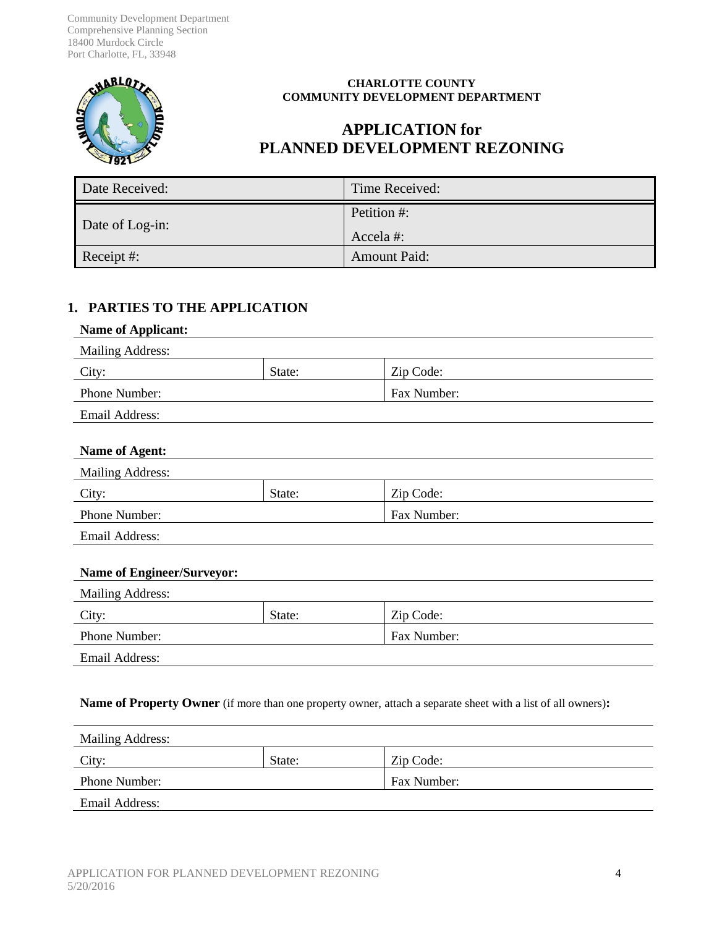Community Development Department Comprehensive Planning Section 18400 Murdock Circle Port Charlotte, FL, 33948



#### **CHARLOTTE COUNTY COMMUNITY DEVELOPMENT DEPARTMENT**

# **APPLICATION for PLANNED DEVELOPMENT REZONING**

| Date Received:  | Time Received:          |
|-----------------|-------------------------|
| Date of Log-in: | Petition #:<br>Accela#: |
| Receipt #:      | <b>Amount Paid:</b>     |

#### **1. PARTIES TO THE APPLICATION**

#### **Name of Applicant:**

| <b>Mailing Address:</b> |        |                    |  |
|-------------------------|--------|--------------------|--|
| City:                   | State: | Zip Code:          |  |
| <b>Phone Number:</b>    |        | <b>Fax Number:</b> |  |
| Email Address:          |        |                    |  |

#### **Name of Agent:**

| <b>Mailing Address:</b> |        |                    |  |
|-------------------------|--------|--------------------|--|
| City:                   | State: | Zip Code:          |  |
| <b>Phone Number:</b>    |        | <b>Fax Number:</b> |  |
| Email Address:          |        |                    |  |

#### **Name of Engineer/Surveyor:**

| <b>Mailing Address:</b> |        |             |  |
|-------------------------|--------|-------------|--|
| City:                   | State: | Zip Code:   |  |
| Phone Number:           |        | Fax Number: |  |
| Email Address:          |        |             |  |

#### **Name of Property Owner** (if more than one property owner, attach a separate sheet with a list of all owners)**:**

| <b>Mailing Address:</b> |        |             |
|-------------------------|--------|-------------|
| City:                   | State: | Zip Code:   |
| <b>Phone Number:</b>    |        | Fax Number: |
| Email Address:          |        |             |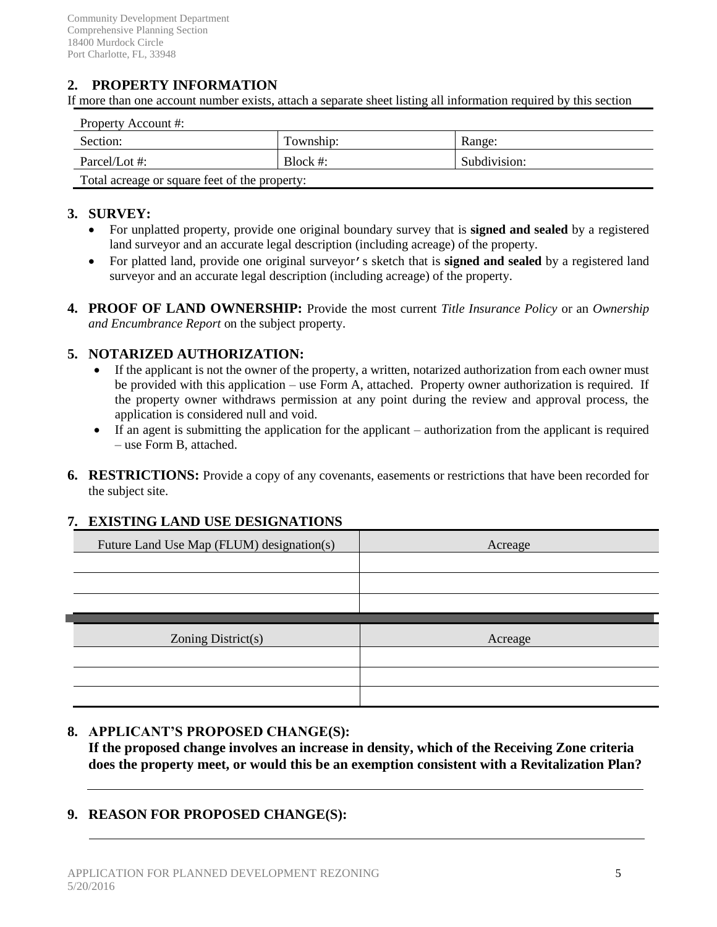# **2. PROPERTY INFORMATION**

If more than one account number exists, attach a separate sheet listing all information required by this section

| Property Account #:                           |           |              |  |  |
|-----------------------------------------------|-----------|--------------|--|--|
| Section:                                      | Township: | Range:       |  |  |
| Parcel/Lot #:                                 | Block #:  | Subdivision: |  |  |
| Total acreage or square feet of the property: |           |              |  |  |

#### **3. SURVEY:**

- For unplatted property, provide one original boundary survey that is **signed and sealed** by a registered land surveyor and an accurate legal description (including acreage) of the property.
- For platted land, provide one original surveyor's sketch that is **signed and sealed** by a registered land surveyor and an accurate legal description (including acreage) of the property.
- **4. PROOF OF LAND OWNERSHIP:** Provide the most current *Title Insurance Policy* or an *Ownership and Encumbrance Report* on the subject property.

#### **5. NOTARIZED AUTHORIZATION:**

- If the applicant is not the owner of the property, a written, notarized authorization from each owner must be provided with this application – use Form A, attached. Property owner authorization is required. If the property owner withdraws permission at any point during the review and approval process, the application is considered null and void.
- If an agent is submitting the application for the applicant authorization from the applicant is required – use Form B, attached.
- **6. RESTRICTIONS:** Provide a copy of any covenants, easements or restrictions that have been recorded for the subject site.

#### **7. EXISTING LAND USE DESIGNATIONS**

| Future Land Use Map (FLUM) designation(s) | Acreage |
|-------------------------------------------|---------|
|                                           |         |
|                                           |         |
|                                           |         |
|                                           |         |
|                                           |         |
| Zoning District(s)                        | Acreage |
|                                           |         |
|                                           |         |

#### **8. APPLICANT'S PROPOSED CHANGE(S):**

**If the proposed change involves an increase in density, which of the Receiving Zone criteria does the property meet, or would this be an exemption consistent with a Revitalization Plan?**

#### **9. REASON FOR PROPOSED CHANGE(S):**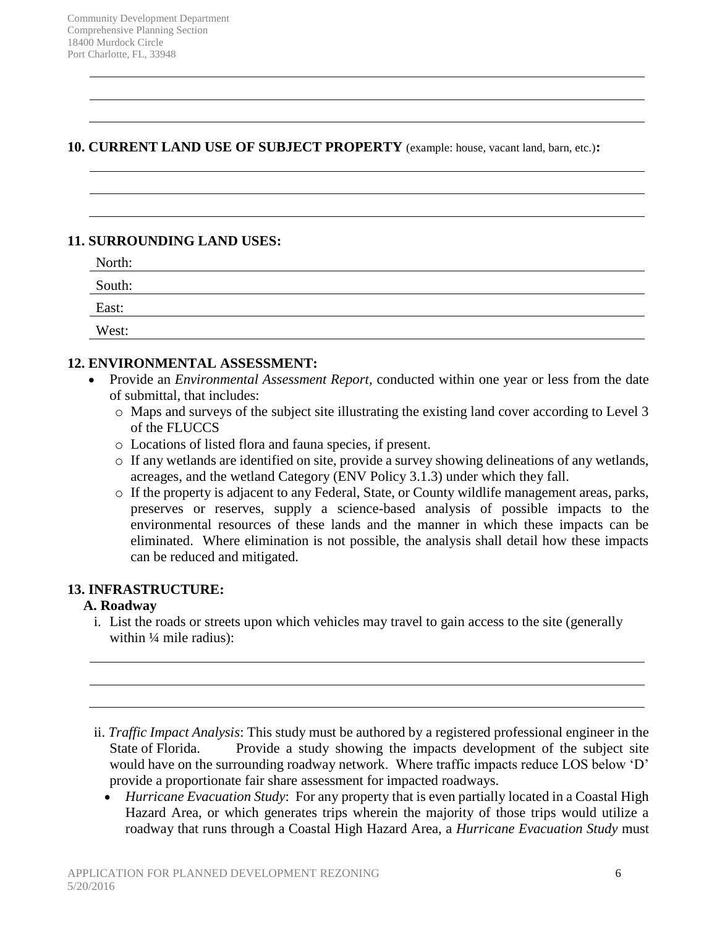#### **10. CURRENT LAND USE OF SUBJECT PROPERTY** (example: house, vacant land, barn, etc.)**:**

#### **11. SURROUNDING LAND USES:**

| North: |  |  |
|--------|--|--|
| South: |  |  |
| East:  |  |  |
| West:  |  |  |

## **12. ENVIRONMENTAL ASSESSMENT:**

- Provide an *Environmental Assessment Report,* conducted within one year or less from the date of submittal, that includes:
	- o Maps and surveys of the subject site illustrating the existing land cover according to Level 3 of the FLUCCS
	- o Locations of listed flora and fauna species, if present.
	- o If any wetlands are identified on site, provide a survey showing delineations of any wetlands, acreages, and the wetland Category (ENV Policy 3.1.3) under which they fall.
	- o If the property is adjacent to any Federal, State, or County wildlife management areas, parks, preserves or reserves, supply a science-based analysis of possible impacts to the environmental resources of these lands and the manner in which these impacts can be eliminated. Where elimination is not possible, the analysis shall detail how these impacts can be reduced and mitigated.

## **13. INFRASTRUCTURE:**

## **A. Roadway**

i. List the roads or streets upon which vehicles may travel to gain access to the site (generally within  $\frac{1}{4}$  mile radius):

 *Hurricane Evacuation Study*: For any property that is even partially located in a Coastal High Hazard Area, or which generates trips wherein the majority of those trips would utilize a roadway that runs through a Coastal High Hazard Area, a *Hurricane Evacuation Study* must

ii. *Traffic Impact Analysis*: This study must be authored by a registered professional engineer in the State of Florida. Provide a study showing the impacts development of the subject site would have on the surrounding roadway network. Where traffic impacts reduce LOS below 'D' provide a proportionate fair share assessment for impacted roadways.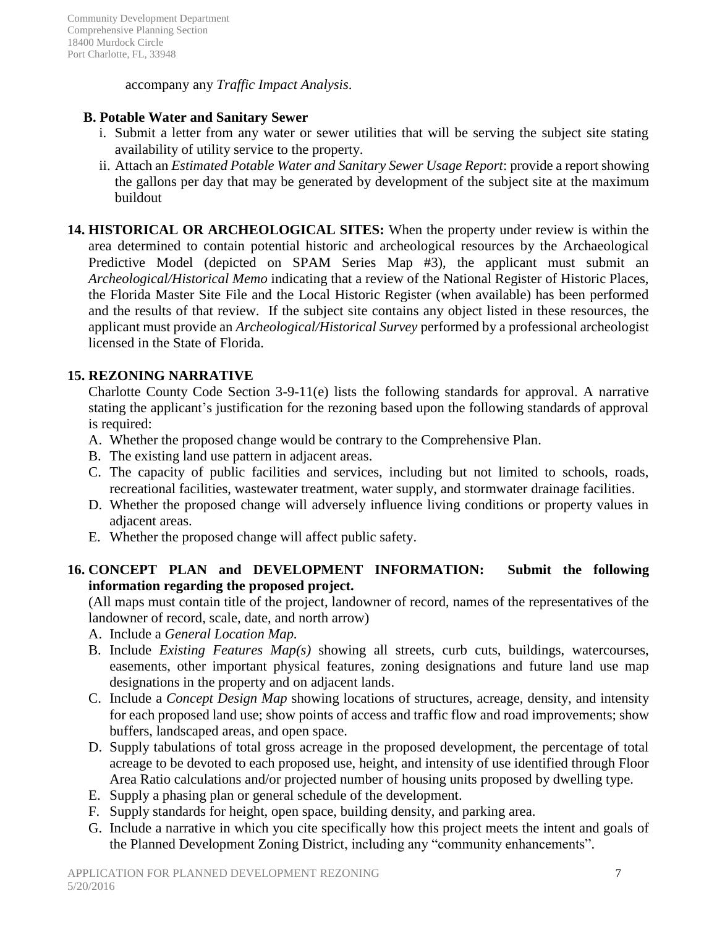accompany any *Traffic Impact Analysis*.

#### **B. Potable Water and Sanitary Sewer**

- i. Submit a letter from any water or sewer utilities that will be serving the subject site stating availability of utility service to the property.
- ii. Attach an *Estimated Potable Water and Sanitary Sewer Usage Report*: provide a report showing the gallons per day that may be generated by development of the subject site at the maximum buildout
- **14. HISTORICAL OR ARCHEOLOGICAL SITES:** When the property under review is within the area determined to contain potential historic and archeological resources by the Archaeological Predictive Model (depicted on SPAM Series Map #3), the applicant must submit an *Archeological/Historical Memo* indicating that a review of the National Register of Historic Places, the Florida Master Site File and the Local Historic Register (when available) has been performed and the results of that review. If the subject site contains any object listed in these resources, the applicant must provide an *Archeological/Historical Survey* performed by a professional archeologist licensed in the State of Florida.

## **15. REZONING NARRATIVE**

Charlotte County Code Section 3-9-11(e) lists the following standards for approval. A narrative stating the applicant's justification for the rezoning based upon the following standards of approval is required:

- A. Whether the proposed change would be contrary to the Comprehensive Plan.
- B. The existing land use pattern in adjacent areas.
- C. The capacity of public facilities and services, including but not limited to schools, roads, recreational facilities, wastewater treatment, water supply, and stormwater drainage facilities.
- D. Whether the proposed change will adversely influence living conditions or property values in adjacent areas.
- E. Whether the proposed change will affect public safety.

## **16. CONCEPT PLAN and DEVELOPMENT INFORMATION: Submit the following information regarding the proposed project.**

(All maps must contain title of the project, landowner of record, names of the representatives of the landowner of record, scale, date, and north arrow)

- A. Include a *General Location Map.*
- B. Include *Existing Features Map(s)* showing all streets, curb cuts, buildings, watercourses, easements, other important physical features, zoning designations and future land use map designations in the property and on adjacent lands.
- C. Include a *Concept Design Map* showing locations of structures, acreage, density, and intensity for each proposed land use; show points of access and traffic flow and road improvements; show buffers, landscaped areas, and open space.
- D. Supply tabulations of total gross acreage in the proposed development, the percentage of total acreage to be devoted to each proposed use, height, and intensity of use identified through Floor Area Ratio calculations and/or projected number of housing units proposed by dwelling type.
- E. Supply a phasing plan or general schedule of the development.
- F. Supply standards for height, open space, building density, and parking area.
- G. Include a narrative in which you cite specifically how this project meets the intent and goals of the Planned Development Zoning District, including any "community enhancements".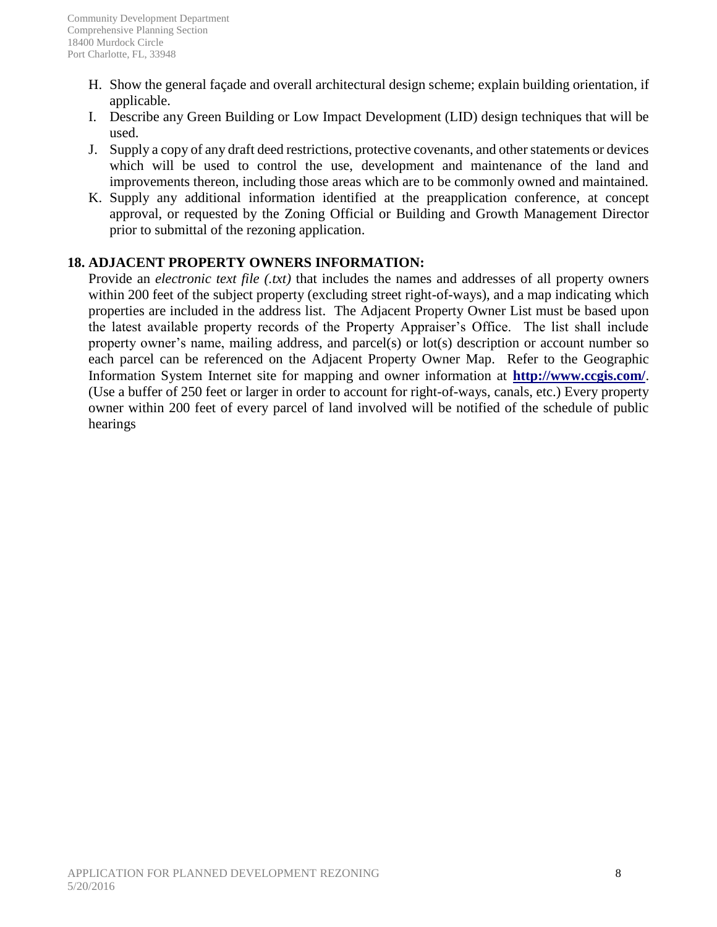- H. Show the general façade and overall architectural design scheme; explain building orientation, if applicable.
- I. Describe any Green Building or Low Impact Development (LID) design techniques that will be used.
- J. Supply a copy of any draft deed restrictions, protective covenants, and other statements or devices which will be used to control the use, development and maintenance of the land and improvements thereon, including those areas which are to be commonly owned and maintained.
- K. Supply any additional information identified at the preapplication conference, at concept approval, or requested by the Zoning Official or Building and Growth Management Director prior to submittal of the rezoning application.

# **18. ADJACENT PROPERTY OWNERS INFORMATION:**

Provide an *electronic text file (.txt)* that includes the names and addresses of all property owners within 200 feet of the subject property (excluding street right-of-ways), and a map indicating which properties are included in the address list. The Adjacent Property Owner List must be based upon the latest available property records of the Property Appraiser's Office. The list shall include property owner's name, mailing address, and parcel(s) or lot(s) description or account number so each parcel can be referenced on the Adjacent Property Owner Map. Refer to the Geographic Information System Internet site for mapping and owner information at **http://www.ccgis.com/**. (Use a buffer of 250 feet or larger in order to account for right-of-ways, canals, etc.) Every property owner within 200 feet of every parcel of land involved will be notified of the schedule of public hearings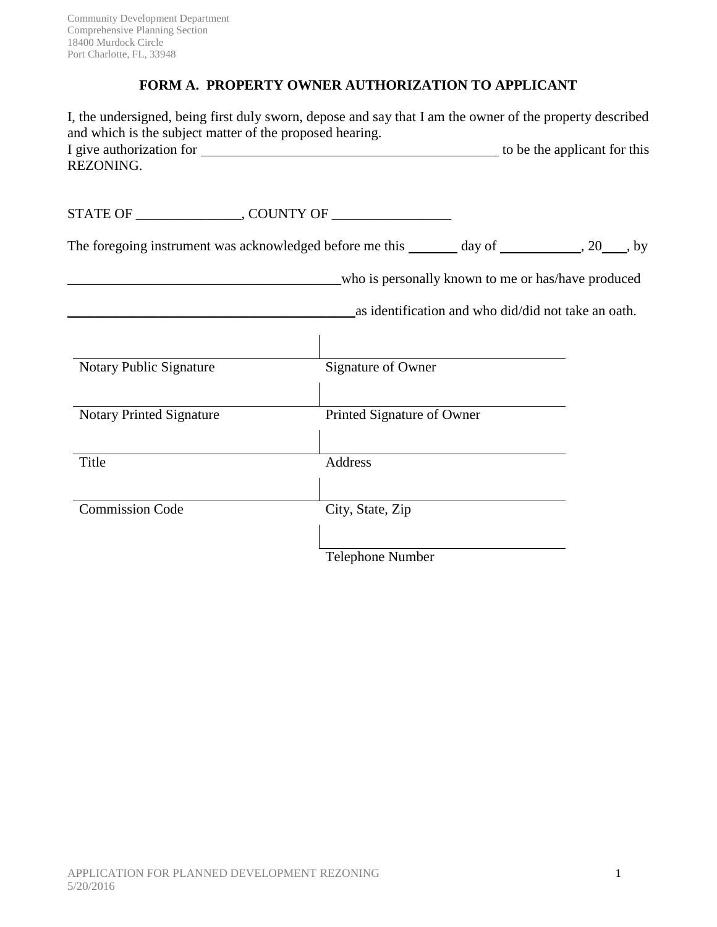# **FORM A. PROPERTY OWNER AUTHORIZATION TO APPLICANT**

| and which is the subject matter of the proposed hearing. | I, the undersigned, being first duly sworn, depose and say that I am the owner of the property described |  |
|----------------------------------------------------------|----------------------------------------------------------------------------------------------------------|--|
| REZONING.                                                |                                                                                                          |  |
|                                                          |                                                                                                          |  |
|                                                          | The foregoing instrument was acknowledged before me this _______ day of __________, 20___, by            |  |
|                                                          | who is personally known to me or has/have produced                                                       |  |
|                                                          | as identification and who did/did not take an oath.                                                      |  |
|                                                          |                                                                                                          |  |
| Notary Public Signature                                  | Signature of Owner                                                                                       |  |
| <b>Notary Printed Signature</b>                          | Printed Signature of Owner                                                                               |  |
| Title                                                    | Address                                                                                                  |  |
| <b>Commission Code</b>                                   | City, State, Zip                                                                                         |  |
|                                                          | <b>Telephone Number</b>                                                                                  |  |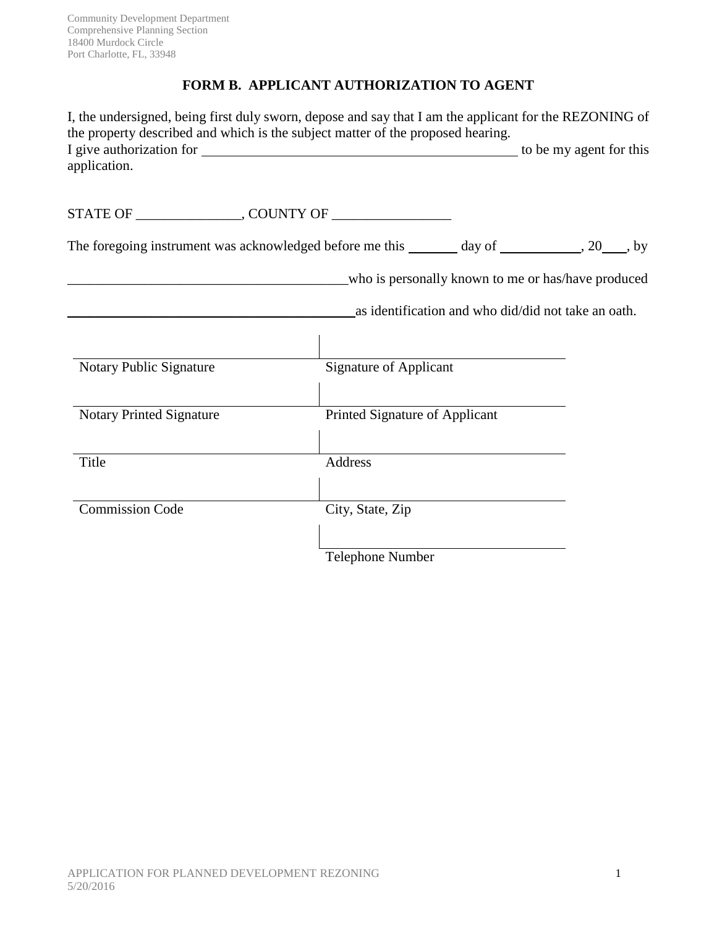# **FORM B. APPLICANT AUTHORIZATION TO AGENT**

| I, the undersigned, being first duly sworn, depose and say that I am the applicant for the REZONING of<br>the property described and which is the subject matter of the proposed hearing. |                                |                                                     |                                                    |  |
|-------------------------------------------------------------------------------------------------------------------------------------------------------------------------------------------|--------------------------------|-----------------------------------------------------|----------------------------------------------------|--|
| application.                                                                                                                                                                              |                                |                                                     |                                                    |  |
|                                                                                                                                                                                           |                                |                                                     |                                                    |  |
|                                                                                                                                                                                           |                                |                                                     |                                                    |  |
| The foregoing instrument was acknowledged before me this _______ day of __________, 20___, by                                                                                             |                                |                                                     |                                                    |  |
|                                                                                                                                                                                           |                                |                                                     | who is personally known to me or has/have produced |  |
|                                                                                                                                                                                           |                                | as identification and who did/did not take an oath. |                                                    |  |
|                                                                                                                                                                                           |                                |                                                     |                                                    |  |
| Notary Public Signature                                                                                                                                                                   | <b>Signature of Applicant</b>  |                                                     |                                                    |  |
| <b>Notary Printed Signature</b>                                                                                                                                                           | Printed Signature of Applicant |                                                     |                                                    |  |
| Title                                                                                                                                                                                     | Address                        |                                                     |                                                    |  |
| <b>Commission Code</b>                                                                                                                                                                    | City, State, Zip               |                                                     |                                                    |  |
|                                                                                                                                                                                           | Telephone Number               |                                                     |                                                    |  |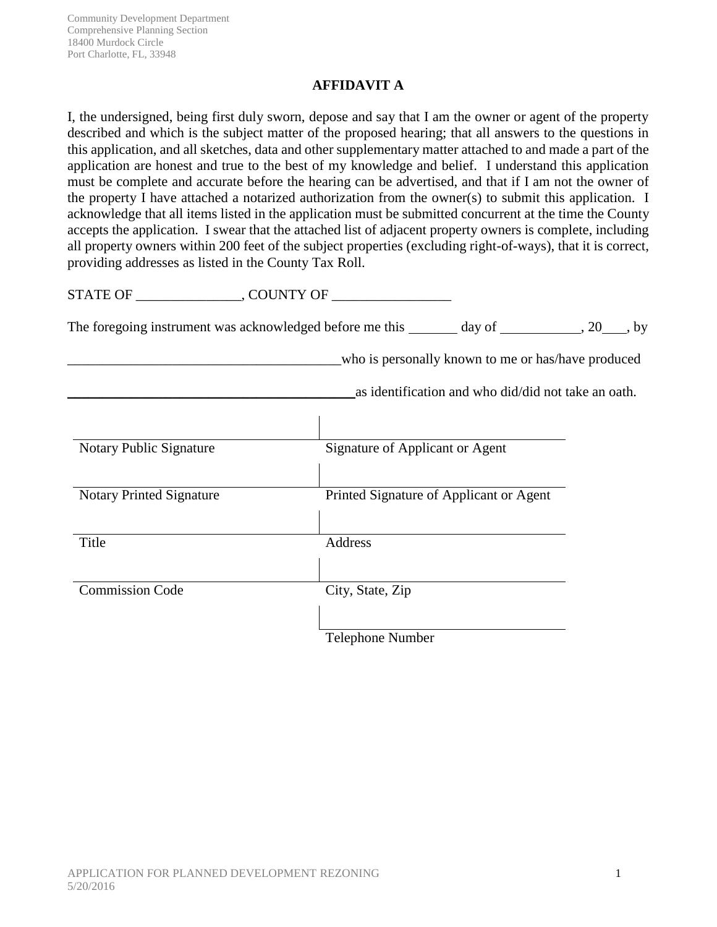## **AFFIDAVIT A**

I, the undersigned, being first duly sworn, depose and say that I am the owner or agent of the property described and which is the subject matter of the proposed hearing; that all answers to the questions in this application, and all sketches, data and other supplementary matter attached to and made a part of the application are honest and true to the best of my knowledge and belief. I understand this application must be complete and accurate before the hearing can be advertised, and that if I am not the owner of the property I have attached a notarized authorization from the owner(s) to submit this application. I acknowledge that all items listed in the application must be submitted concurrent at the time the County accepts the application. I swear that the attached list of adjacent property owners is complete, including all property owners within 200 feet of the subject properties (excluding right-of-ways), that it is correct, providing addresses as listed in the County Tax Roll.

STATE OF \_\_\_\_\_\_\_\_\_\_\_\_\_\_\_, COUNTY OF \_\_\_\_\_\_\_\_\_\_\_\_\_\_\_\_\_

The foregoing instrument was acknowledged before me this  $\_\_$  day of  $\_\_$ , 20  $\_\_$ , by

who is personally known to me or has/have produced

\_\_\_\_\_\_\_\_\_\_\_\_\_\_\_\_\_\_\_\_\_\_\_\_\_\_\_\_\_\_\_\_\_\_\_\_\_\_\_\_\_as identification and who did/did not take an oath.

| Notary Public Signature         | Signature of Applicant or Agent         |
|---------------------------------|-----------------------------------------|
| <b>Notary Printed Signature</b> | Printed Signature of Applicant or Agent |
| Title                           | <b>Address</b>                          |
| <b>Commission Code</b>          | City, State, Zip                        |
|                                 | <b>Telephone Number</b>                 |